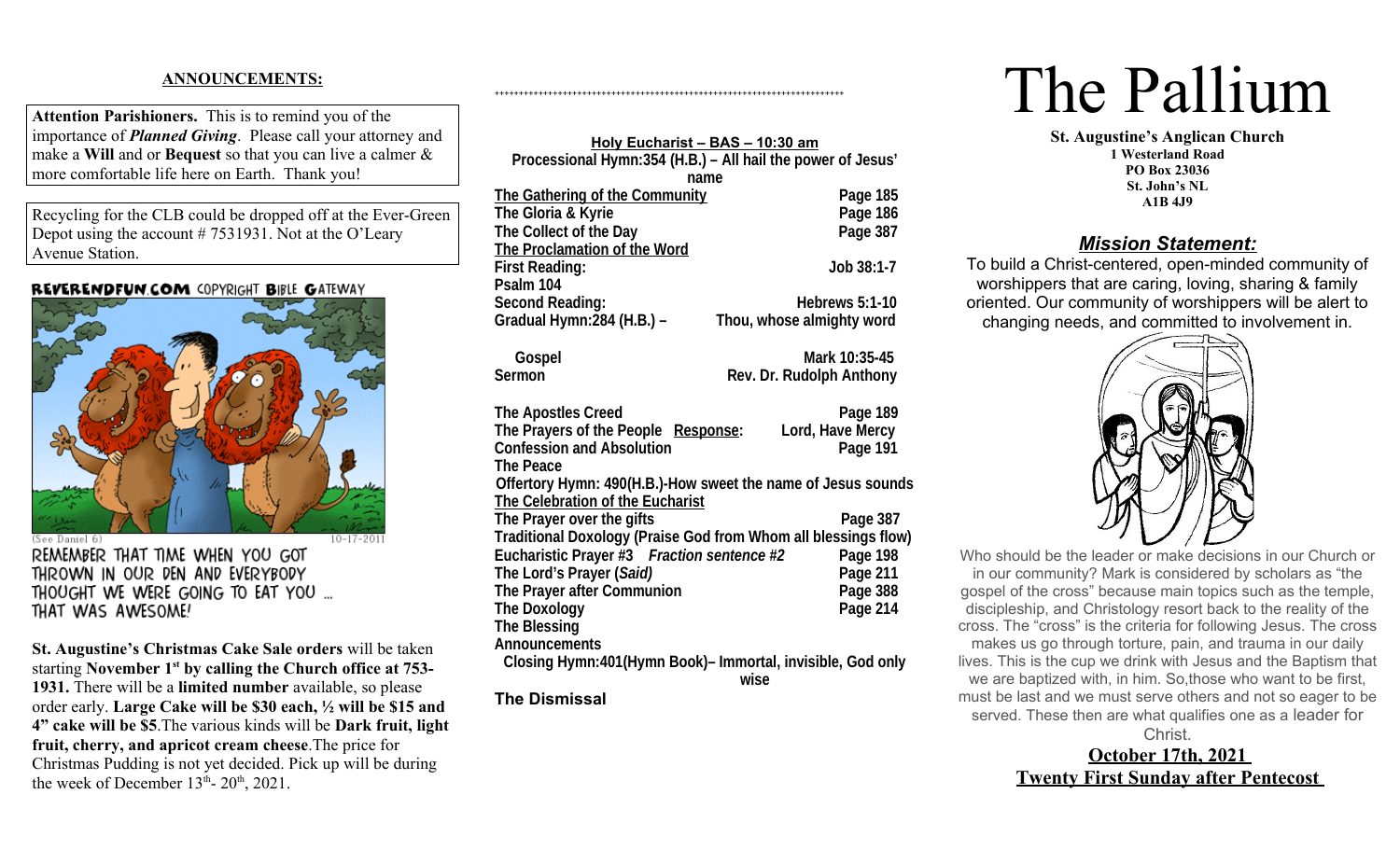# **ANNOUNCEMENTS:**

**Attention Parishioners.** This is to remind you of the importance of *Planned Giving*. Please call your attorney and make a **Will** and or **Bequest** so that you can live a calmer & more comfortable life here on Earth. Thank you!

Recycling for the CLB could be dropped off at the Ever-Green Depot using the account # 7531931. Not at the O'Leary Avenue Station.

#### REVERENDFUN COM COPYRIGHT BIBLE GATEWAY



(See Daniel 6) REMEMBER THAT TIME WHEN YOU GOT THROWN IN OUR DEN AND EVERYBODY THOUGHT WE WERE GOING TO EAT YOU ... THAT WAS AWESOME!

**St. Augustine's Christmas Cake Sale orders** will be taken starting **November 1st by calling the Church office at 753- 1931.** There will be a **limited number** available, so please order early. **Large Cake will be \$30 each, ½ will be \$15 and 4" cake will be \$5**.The various kinds will be **Dark fruit, light fruit, cherry, and apricot cream cheese**.The price for Christmas Pudding is not yet decided. Pick up will be during the week of December  $13<sup>th</sup>$ -  $20<sup>th</sup>$ ,  $2021$ .

| Holy Eucharist - BAS - 10:30 am                                |                           |  |
|----------------------------------------------------------------|---------------------------|--|
| Processional Hymn:354 (H.B.) - All hail the power of Jesus'    |                           |  |
| name                                                           |                           |  |
| The Gathering of the Community                                 | Page 185                  |  |
| The Gloria & Kyrie                                             | Page 186                  |  |
| The Collect of the Day                                         | Page 387                  |  |
| The Proclamation of the Word                                   |                           |  |
| <b>First Reading:</b>                                          | Job 38:1-7                |  |
| Psalm 104                                                      |                           |  |
| <b>Second Reading:</b>                                         | <b>Hebrews 5:1-10</b>     |  |
| Gradual Hymn: 284 (H.B.) -                                     | Thou, whose almighty word |  |
|                                                                |                           |  |
| Gospel                                                         | Mark 10:35-45             |  |
| <b>Sermon</b>                                                  | Rev. Dr. Rudolph Anthony  |  |
|                                                                |                           |  |
| <b>The Apostles Creed</b>                                      | Page 189                  |  |
| The Prayers of the People Response:                            | Lord, Have Mercy          |  |
| <b>Confession and Absolution</b>                               | Page 191                  |  |
| <b>The Peace</b>                                               |                           |  |
| Offertory Hymn: 490(H.B.)-How sweet the name of Jesus sounds   |                           |  |
| The Celebration of the Eucharist                               |                           |  |
| The Prayer over the gifts                                      | Page 387                  |  |
| Traditional Doxology (Praise God from Whom all blessings flow) |                           |  |
| Eucharistic Prayer #3 Fraction sentence #2                     | Page 198                  |  |
| The Lord's Prayer (Said)                                       | Page 211                  |  |
| The Prayer after Communion                                     | Page 388                  |  |
| <b>The Doxology</b>                                            | <b>Page 214</b>           |  |
| <b>The Blessing</b>                                            |                           |  |
| <b>Announcements</b>                                           |                           |  |
| Closing Hymn:401 (Hymn Book) - Immortal, invisible, God only   |                           |  |
|                                                                | wise                      |  |
| Tha Diamiaaal                                                  |                           |  |

++++++++++++++++++++++++++++++++++++++++++++++++++++++++++++++++++++++++

**The Dismissal**

# The Pallium

**St. Augustine's Anglican Church 1 Westerland Road PO Box 23036 St. John's NL A1B 4J9**

# *Mission Statement:*

To build a Christ-centered, open-minded community of worshippers that are caring, loving, sharing & family oriented. Our community of worshippers will be alert to changing needs, and committed to involvement in.



Who should be the leader or make decisions in our Church or in our community? Mark is considered by scholars as "the gospel of the cross" because main topics such as the temple, discipleship, and Christology resort back to the reality of the cross. The "cross" is the criteria for following Jesus. The cross makes us go through torture, pain, and trauma in our daily lives. This is the cup we drink with Jesus and the Baptism that we are baptized with, in him. So,those who want to be first, must be last and we must serve others and not so eager to be served. These then are what qualifies one as a leader for

**Christ October 17th, 2021 Twenty First Sunday after Pentecost**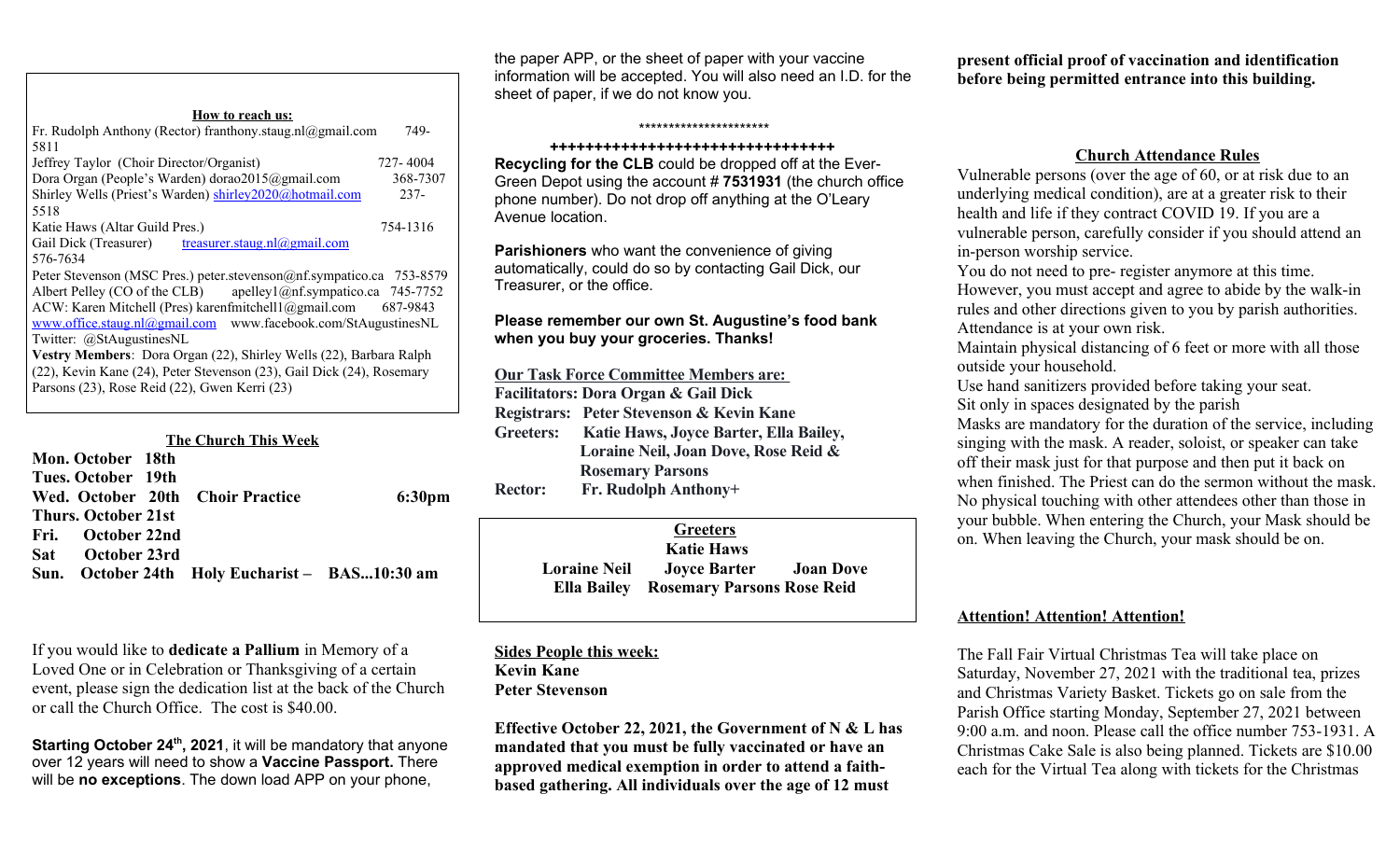**How to reach us:** Fr. Rudolph Anthony (Rector) franthony.staug.nl@gmail.com 749-5811 Jeffrey Taylor (Choir Director/Organist) 727- 4004 Dora Organ (People's Warden) dorao2015@gmail.com 368-7307 Shirley Wells (Priest's Warden) [shirley2020@hotmail.com](mailto:shirley2020@hotmail.com) 237-5518 Katie Haws (Altar Guild Pres.) 754-1316 Gail Dick (Treasurer) [treasurer.staug.nl@gmail.com](mailto:treasurer.staug.nl@gmail.com) 576-7634 Peter Stevenson (MSC Pres.) peter.stevenson@nf.sympatico.ca 753-8579 Albert Pelley (CO of the CLB) apelley1@nf.sympatico.ca 745-7752 ACW: Karen Mitchell (Pres) karenfmitchell1@gmail.com 687-9843 [www.office.staug.nl@gmail.com](./http:%2F%2Fwww.office.staug.nl@gmail.com) www.facebook.com/StAugustinesNL Twitter: @StAugustinesNL **Vestry Members**: Dora Organ (22), Shirley Wells (22), Barbara Ralph (22), Kevin Kane (24), Peter Stevenson (23), Gail Dick (24), Rosemary Parsons (23), Rose Reid (22), Gwen Kerri (23)

| <b>The Church This Week</b>                    |  |                    |
|------------------------------------------------|--|--------------------|
| Mon. October 18th                              |  |                    |
| Tues. October 19th                             |  |                    |
| Wed. October 20th Choir Practice               |  | 6:30 <sub>pm</sub> |
| Thurs. October 21st                            |  |                    |
| Fri. October 22nd                              |  |                    |
| - October 23rd<br>Sat-                         |  |                    |
| Sun. October 24th Holy Eucharist - BAS10:30 am |  |                    |

If you would like to **dedicate a Pallium** in Memory of a Loved One or in Celebration or Thanksgiving of a certain event, please sign the dedication list at the back of the Church or call the Church Office. The cost is \$40.00.

**Starting October 24th, 2021**, it will be mandatory that anyone over 12 years will need to show a **Vaccine Passport.** There will be **no exceptions**. The down load APP on your phone,

the paper APP, or the sheet of paper with your vaccine information will be accepted. You will also need an I.D. for the sheet of paper, if we do not know you.

\*\*\*\*\*\*\*\*\*\*\*\*\*\*\*\*\*\*\*\*\*\*

#### **++++++++++++++++++++++++++++++++**

**Recycling for the CLB** could be dropped off at the Ever-Green Depot using the account # **7531931** (the church office phone number). Do not drop off anything at the O'Leary Avenue location.

**Parishioners** who want the convenience of giving automatically, could do so by contacting Gail Dick, our Treasurer, or the office.

### **Please remember our own St. Augustine's food bank when you buy your groceries. Thanks!**

**Our Task Force Committee Members are: Facilitators: Dora Organ & Gail Dick Registrars: Peter Stevenson & Kevin Kane Greeters: Katie Haws, Joyce Barter, Ella Bailey, Loraine Neil, Joan Dove, Rose Reid & Rosemary Parsons Rector: Fr. Rudolph Anthony+**

**Greeters Katie Haws Loraine Neil Joyce Barter Joan Dove Ella Bailey Rosemary Parsons Rose Reid** 

**Sides People this week: Kevin Kane Peter Stevenson**

**Effective October 22, 2021, the Government of N & L has mandated that you must be fully vaccinated or have an approved medical exemption in order to attend a faithbased gathering. All individuals over the age of 12 must** 

**present official proof of vaccination and identification before being permitted entrance into this building.**

## **Church Attendance Rules**

Vulnerable persons (over the age of 60, or at risk due to an underlying medical condition), are at a greater risk to their health and life if they contract COVID 19. If you are a vulnerable person, carefully consider if you should attend an in-person worship service.

You do not need to pre- register anymore at this time. However, you must accept and agree to abide by the walk-in rules and other directions given to you by parish authorities. Attendance is at your own risk.

Maintain physical distancing of 6 feet or more with all those outside your household.

Use hand sanitizers provided before taking your seat. Sit only in spaces designated by the parish

Masks are mandatory for the duration of the service, including singing with the mask. A reader, soloist, or speaker can take off their mask just for that purpose and then put it back on when finished. The Priest can do the sermon without the mask. No physical touching with other attendees other than those in your bubble. When entering the Church, your Mask should be on. When leaving the Church, your mask should be on.

# **Attention! Attention! Attention!**

The Fall Fair Virtual Christmas Tea will take place on Saturday, November 27, 2021 with the traditional tea, prizes and Christmas Variety Basket. Tickets go on sale from the Parish Office starting Monday, September 27, 2021 between 9:00 a.m. and noon. Please call the office number 753-1931. A Christmas Cake Sale is also being planned. Tickets are \$10.00 each for the Virtual Tea along with tickets for the Christmas